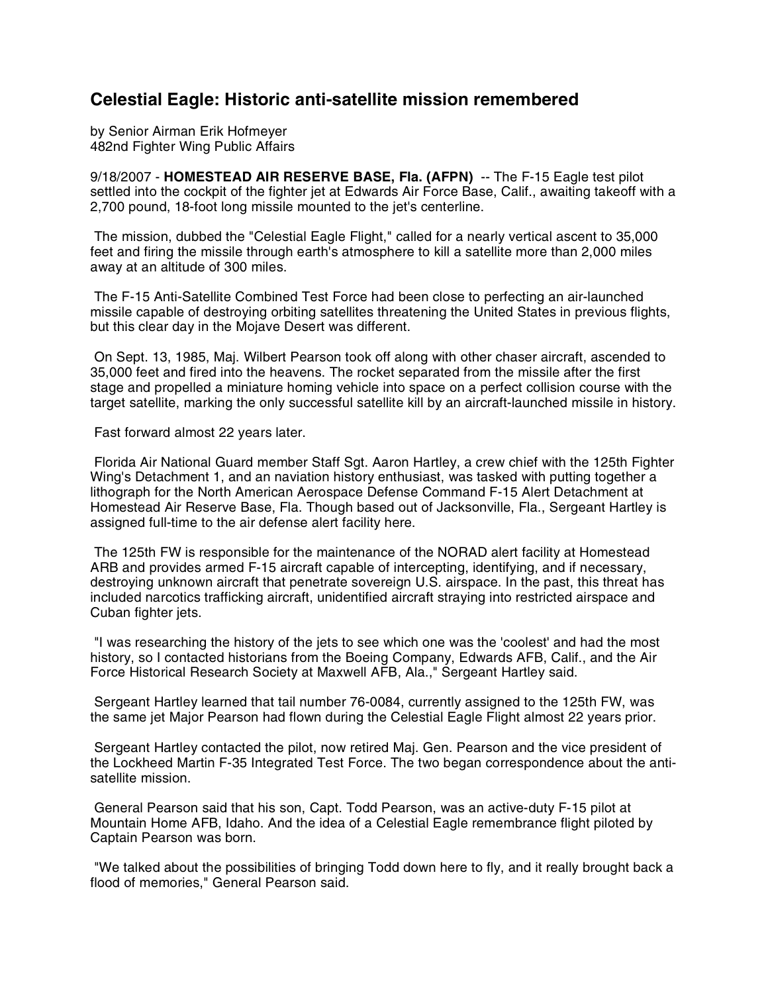## **Celestial Eagle: Historic anti-satellite mission remembered**

by Senior Airman Erik Hofmeyer 482nd Fighter Wing Public Affairs

9/18/2007 - **HOMESTEAD AIR RESERVE BASE, Fla. (AFPN)** -- The F-15 Eagle test pilot settled into the cockpit of the fighter jet at Edwards Air Force Base, Calif., awaiting takeoff with a 2,700 pound, 18-foot long missile mounted to the jet's centerline.

The mission, dubbed the "Celestial Eagle Flight," called for a nearly vertical ascent to 35,000 feet and firing the missile through earth's atmosphere to kill a satellite more than 2,000 miles away at an altitude of 300 miles.

The F-15 Anti-Satellite Combined Test Force had been close to perfecting an air-launched missile capable of destroying orbiting satellites threatening the United States in previous flights, but this clear day in the Mojave Desert was different.

On Sept. 13, 1985, Maj. Wilbert Pearson took off along with other chaser aircraft, ascended to 35,000 feet and fired into the heavens. The rocket separated from the missile after the first stage and propelled a miniature homing vehicle into space on a perfect collision course with the target satellite, marking the only successful satellite kill by an aircraft-launched missile in history.

Fast forward almost 22 years later.

Florida Air National Guard member Staff Sgt. Aaron Hartley, a crew chief with the 125th Fighter Wing's Detachment 1, and an naviation history enthusiast, was tasked with putting together a lithograph for the North American Aerospace Defense Command F-15 Alert Detachment at Homestead Air Reserve Base, Fla. Though based out of Jacksonville, Fla., Sergeant Hartley is assigned full-time to the air defense alert facility here.

The 125th FW is responsible for the maintenance of the NORAD alert facility at Homestead ARB and provides armed F-15 aircraft capable of intercepting, identifying, and if necessary, destroying unknown aircraft that penetrate sovereign U.S. airspace. In the past, this threat has included narcotics trafficking aircraft, unidentified aircraft straying into restricted airspace and Cuban fighter jets.

"I was researching the history of the jets to see which one was the 'coolest' and had the most history, so I contacted historians from the Boeing Company, Edwards AFB, Calif., and the Air Force Historical Research Society at Maxwell AFB, Ala.," Sergeant Hartley said.

Sergeant Hartley learned that tail number 76-0084, currently assigned to the 125th FW, was the same jet Major Pearson had flown during the Celestial Eagle Flight almost 22 years prior.

Sergeant Hartley contacted the pilot, now retired Maj. Gen. Pearson and the vice president of the Lockheed Martin F-35 Integrated Test Force. The two began correspondence about the antisatellite mission.

General Pearson said that his son, Capt. Todd Pearson, was an active-duty F-15 pilot at Mountain Home AFB, Idaho. And the idea of a Celestial Eagle remembrance flight piloted by Captain Pearson was born.

"We talked about the possibilities of bringing Todd down here to fly, and it really brought back a flood of memories," General Pearson said.